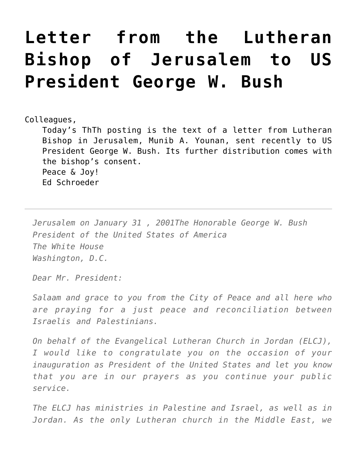## **[Letter from the Lutheran](https://crossings.org/letter-from-the-lutheran-bishop-of-jerusalem-to-us-president-george-w-bush/) [Bishop of Jerusalem to US](https://crossings.org/letter-from-the-lutheran-bishop-of-jerusalem-to-us-president-george-w-bush/) [President George W. Bush](https://crossings.org/letter-from-the-lutheran-bishop-of-jerusalem-to-us-president-george-w-bush/)**

## Colleagues,

Today's ThTh posting is the text of a letter from Lutheran Bishop in Jerusalem, Munib A. Younan, sent recently to US President George W. Bush. Its further distribution comes with the bishop's consent. Peace & Joy! Ed Schroeder

*Jerusalem on January 31 , 2001The Honorable George W. Bush President of the United States of America The White House Washington, D.C.*

*Dear Mr. President:*

*Salaam and grace to you from the City of Peace and all here who are praying for a just peace and reconciliation between Israelis and Palestinians.*

*On behalf of the Evangelical Lutheran Church in Jordan (ELCJ), I would like to congratulate you on the occasion of your inauguration as President of the United States and let you know that you are in our prayers as you continue your public service.*

*The ELCJ has ministries in Palestine and Israel, as well as in Jordan. As the only Lutheran church in the Middle East, we*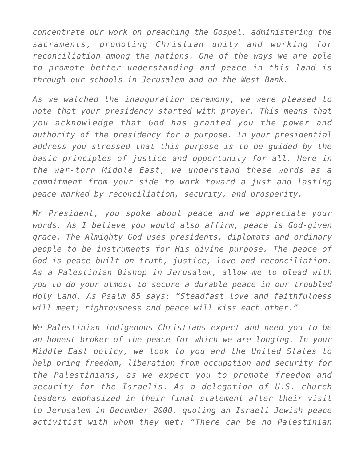*concentrate our work on preaching the Gospel, administering the sacraments, promoting Christian unity and working for reconciliation among the nations. One of the ways we are able to promote better understanding and peace in this land is through our schools in Jerusalem and on the West Bank.*

*As we watched the inauguration ceremony, we were pleased to note that your presidency started with prayer. This means that you acknowledge that God has granted you the power and authority of the presidency for a purpose. In your presidential address you stressed that this purpose is to be guided by the basic principles of justice and opportunity for all. Here in the war-torn Middle East, we understand these words as a commitment from your side to work toward a just and lasting peace marked by reconciliation, security, and prosperity.*

*Mr President, you spoke about peace and we appreciate your words. As I believe you would also affirm, peace is God-given grace. The Almighty God uses presidents, diplomats and ordinary people to be instruments for His divine purpose. The peace of God is peace built on truth, justice, love and reconciliation. As a Palestinian Bishop in Jerusalem, allow me to plead with you to do your utmost to secure a durable peace in our troubled Holy Land. As Psalm 85 says: "Steadfast love and faithfulness will meet; rightousness and peace will kiss each other."*

*We Palestinian indigenous Christians expect and need you to be an honest broker of the peace for which we are longing. In your Middle East policy, we look to you and the United States to help bring freedom, liberation from occupation and security for the Palestinians, as we expect you to promote freedom and security for the Israelis. As a delegation of U.S. church leaders emphasized in their final statement after their visit to Jerusalem in December 2000, quoting an Israeli Jewish peace activitist with whom they met: "There can be no Palestinian*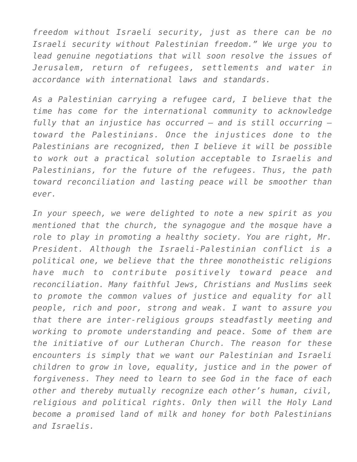*freedom without Israeli security, just as there can be no Israeli security without Palestinian freedom." We urge you to lead genuine negotiations that will soon resolve the issues of Jerusalem, return of refugees, settlements and water in accordance with international laws and standards.*

*As a Palestinian carrying a refugee card, I believe that the time has come for the international community to acknowledge fully that an injustice has occurred — and is still occurring toward the Palestinians. Once the injustices done to the Palestinians are recognized, then I believe it will be possible to work out a practical solution acceptable to Israelis and Palestinians, for the future of the refugees. Thus, the path toward reconciliation and lasting peace will be smoother than ever.*

*In your speech, we were delighted to note a new spirit as you mentioned that the church, the synagogue and the mosque have a role to play in promoting a healthy society. You are right, Mr. President. Although the Israeli-Palestinian conflict is a political one, we believe that the three monotheistic religions have much to contribute positively toward peace and reconciliation. Many faithful Jews, Christians and Muslims seek to promote the common values of justice and equality for all people, rich and poor, strong and weak. I want to assure you that there are inter-religious groups steadfastly meeting and working to promote understanding and peace. Some of them are the initiative of our Lutheran Church. The reason for these encounters is simply that we want our Palestinian and Israeli children to grow in love, equality, justice and in the power of forgiveness. They need to learn to see God in the face of each other and thereby mutually recognize each other's human, civil, religious and political rights. Only then will the Holy Land become a promised land of milk and honey for both Palestinians and Israelis.*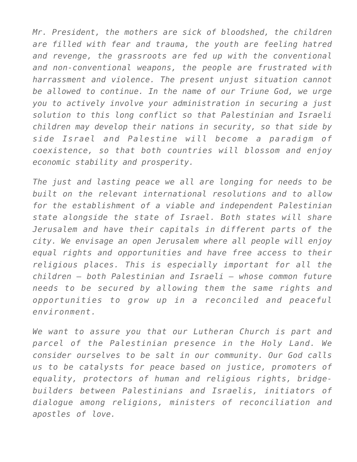*Mr. President, the mothers are sick of bloodshed, the children are filled with fear and trauma, the youth are feeling hatred and revenge, the grassroots are fed up with the conventional and non-conventional weapons, the people are frustrated with harrassment and violence. The present unjust situation cannot be allowed to continue. In the name of our Triune God, we urge you to actively involve your administration in securing a just solution to this long conflict so that Palestinian and Israeli children may develop their nations in security, so that side by side Israel and Palestine will become a paradigm of coexistence, so that both countries will blossom and enjoy economic stability and prosperity.*

*The just and lasting peace we all are longing for needs to be built on the relevant international resolutions and to allow for the establishment of a viable and independent Palestinian state alongside the state of Israel. Both states will share Jerusalem and have their capitals in different parts of the city. We envisage an open Jerusalem where all people will enjoy equal rights and opportunities and have free access to their religious places. This is especially important for all the children — both Palestinian and Israeli — whose common future needs to be secured by allowing them the same rights and opportunities to grow up in a reconciled and peaceful environment.*

*We want to assure you that our Lutheran Church is part and parcel of the Palestinian presence in the Holy Land. We consider ourselves to be salt in our community. Our God calls us to be catalysts for peace based on justice, promoters of equality, protectors of human and religious rights, bridgebuilders between Palestinians and Israelis, initiators of dialogue among religions, ministers of reconciliation and apostles of love.*